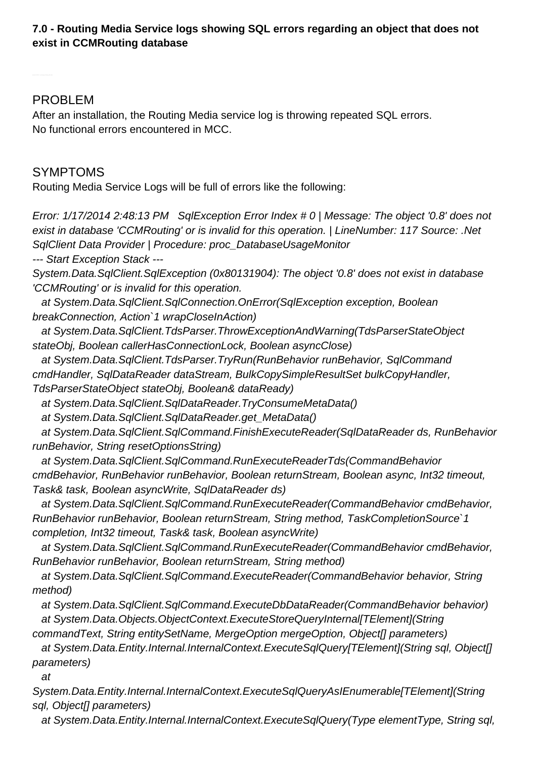#### **7.0 - Routing Media Service logs showing SQL errors regarding an object that does not exist in CCMRouting database**

### PROBLEM

After an installation, the Routing Media service log is throwing repeated SQL errors. No functional errors encountered in MCC.

### SYMPTOMS

Routing Media Service Logs will be full of errors like the following:

Error: 1/17/2014 2:48:13 PM SqlException Error Index # 0 | Message: The object '0.8' does not exist in database 'CCMRouting' or is invalid for this operation. | LineNumber: 117 Source: .Net SqlClient Data Provider | Procedure: proc\_DatabaseUsageMonitor --- Start Exception Stack --- System.Data.SqlClient.SqlException (0x80131904): The object '0.8' does not exist in database 'CCMRouting' or is invalid for this operation. at System.Data.SqlClient.SqlConnection.OnError(SqlException exception, Boolean breakConnection, Action`1 wrapCloseInAction) at System.Data.SqlClient.TdsParser.ThrowExceptionAndWarning(TdsParserStateObject stateObj, Boolean callerHasConnectionLock, Boolean asyncClose) at System.Data.SqlClient.TdsParser.TryRun(RunBehavior runBehavior, SqlCommand cmdHandler, SqlDataReader dataStream, BulkCopySimpleResultSet bulkCopyHandler, TdsParserStateObject stateObj, Boolean& dataReady) at System.Data.SqlClient.SqlDataReader.TryConsumeMetaData() at System.Data.SqlClient.SqlDataReader.get\_MetaData() at System.Data.SqlClient.SqlCommand.FinishExecuteReader(SqlDataReader ds, RunBehavior runBehavior, String resetOptionsString) at System.Data.SqlClient.SqlCommand.RunExecuteReaderTds(CommandBehavior cmdBehavior, RunBehavior runBehavior, Boolean returnStream, Boolean async, Int32 timeout, Task& task, Boolean asyncWrite, SqlDataReader ds) at System.Data.SqlClient.SqlCommand.RunExecuteReader(CommandBehavior cmdBehavior, RunBehavior runBehavior, Boolean returnStream, String method, TaskCompletionSource`1 completion, Int32 timeout, Task& task, Boolean asyncWrite) at System.Data.SqlClient.SqlCommand.RunExecuteReader(CommandBehavior cmdBehavior, RunBehavior runBehavior, Boolean returnStream, String method) at System.Data.SqlClient.SqlCommand.ExecuteReader(CommandBehavior behavior, String method) at System.Data.SqlClient.SqlCommand.ExecuteDbDataReader(CommandBehavior behavior) at System.Data.Objects.ObjectContext.ExecuteStoreQueryInternal[TElement](String commandText, String entitySetName, MergeOption mergeOption, Object[] parameters)

at System.Data.Entity.Internal.InternalContext.ExecuteSqlQuery[TElement](String sql, Object[] parameters)

at

System.Data.Entity.Internal.InternalContext.ExecuteSqlQueryAsIEnumerable[TElement](String sql, Object[] parameters)

at System.Data.Entity.Internal.InternalContext.ExecuteSqlQuery(Type elementType, String sql,